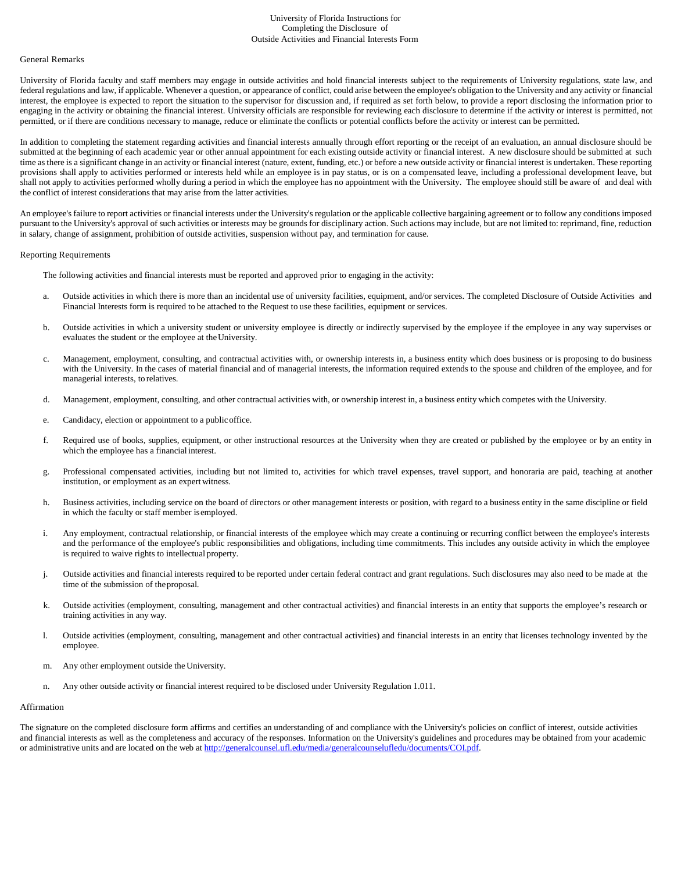## University of Florida Instructions for Completing the Disclosure of Outside Activities and Financial Interests Form

### General Remarks

University of Florida faculty and staff members may engage in outside activities and hold financial interests subject to the requirements of University regulations, state law, and federal regulations and law, if applicable. Whenever a question, or appearance of conflict, could arise between the employee's obligation to the University and any activity or financial interest, the employee is expected to report the situation to the supervisor for discussion and, if required as set forth below, to provide a report disclosing the information prior to engaging in the activity or obtaining the financial interest. University officials are responsible for reviewing each disclosure to determine if the activity or interest is permitted, not permitted, or if there are conditions necessary to manage, reduce or eliminate the conflicts or potential conflicts before the activity or interest can be permitted.

In addition to completing the statement regarding activities and financial interests annually through effort reporting or the receipt of an evaluation, an annual disclosure should be submitted at the beginning of each academic year or other annual appointment for each existing outside activity or financial interest. A new disclosure should be submitted at such time as there is a significant change in an activity or financial interest (nature, extent, funding, etc.) or before a new outside activity or financial interest is undertaken. These reporting provisions shall apply to activities performed or interests held while an employee is in pay status, or is on a compensated leave, including a professional development leave, but shall not apply to activities performed wholly during a period in which the employee has no appointment with the University. The employee should still be aware of and deal with the conflict of interest considerations that may arise from the latter activities.

An employee's failure to report activities or financial interests under the University's regulation or the applicable collective bargaining agreement or to follow any conditions imposed pursuant to the University's approval of such activities or interests may be grounds for disciplinary action. Such actions may include, but are not limited to: reprimand, fine, reduction in salary, change of assignment, prohibition of outside activities, suspension without pay, and termination for cause.

#### Reporting Requirements

The following activities and financial interests must be reported and approved prior to engaging in the activity:

- a. Outside activities in which there is more than an incidental use of university facilities, equipment, and/or services. The completed Disclosure of Outside Activities and Financial Interests form is required to be attached to the Request to use these facilities, equipment or services.
- b. Outside activities in which a university student or university employee is directly or indirectly supervised by the employee if the employee in any way supervises or evaluates the student or the employee at theUniversity.
- c. Management, employment, consulting, and contractual activities with, or ownership interests in, a business entity which does business or is proposing to do business with the University. In the cases of material financial and of managerial interests, the information required extends to the spouse and children of the employee, and for managerial interests, to relatives.
- d. Management, employment, consulting, and other contractual activities with, or ownership interest in, a business entity which competes with the University.
- e. Candidacy, election or appointment to a publicoffice.
- f. Required use of books, supplies, equipment, or other instructional resources at the University when they are created or published by the employee or by an entity in which the employee has a financial interest.
- g. Professional compensated activities, including but not limited to, activities for which travel expenses, travel support, and honoraria are paid, teaching at another institution, or employment as an expert witness.
- h. Business activities, including service on the board of directors or other management interests or position, with regard to a business entity in the same discipline or field in which the faculty or staff member isemployed.
- i. Any employment, contractual relationship, or financial interests of the employee which may create a continuing or recurring conflict between the employee's interests and the performance of the employee's public responsibilities and obligations, including time commitments. This includes any outside activity in which the employee is required to waive rights to intellectual property.
- j. Outside activities and financial interests required to be reported under certain federal contract and grant regulations. Such disclosures may also need to be made at the time of the submission of theproposal.
- k. Outside activities (employment, consulting, management and other contractual activities) and financial interests in an entity that supports the employee's research or training activities in any way.
- l. Outside activities (employment, consulting, management and other contractual activities) and financial interests in an entity that licenses technology invented by the employee.
- m. Any other employment outside the University.
- n. Any other outside activity or financial interest required to be disclosed under University Regulation 1.011.

## Affirmation

The signature on the completed disclosure form affirms and certifies an understanding of and compliance with the University's policies on conflict of interest, outside activities and financial interests as well as the completeness and accuracy of the responses. Information on the University's guidelines and procedures may be obtained from your academic or administrative units and are located on the web at [http://generalcounsel.ufl.edu/media/generalcounselufledu/documents/COI.pdf.](http://generalcounsel.ufl.edu/media/generalcounselufledu/documents/COI.pdf)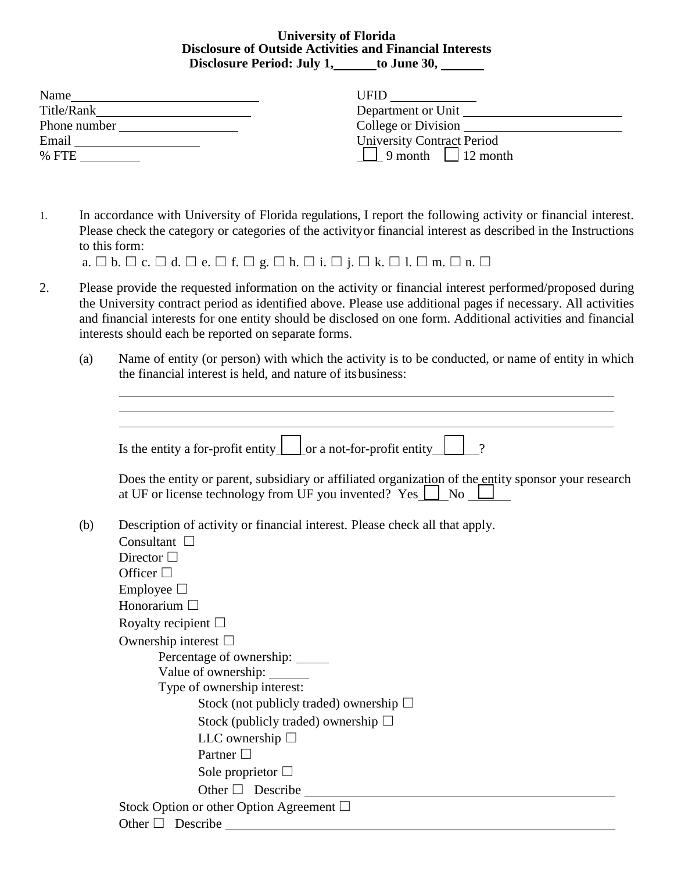# **University of Florida Disclosure of Outside Activities and Financial Interests** Disclosure Period: July 1,\_\_\_\_\_to June 30, \_\_\_\_\_\_

| Name         | UFID                           |
|--------------|--------------------------------|
| Title/Rank   | Department or Unit             |
| Phone number | College or Division            |
| Email        | University Contract Period     |
| $%$ FTE      | $\Box$ 9 month $\Box$ 12 month |

1. In accordance with University of Florida regulations, I report the following activity or financial interest. Please check the category or categories of the activityor financial interest as described in the Instructions to this form:

|  |  | a. $\Box$ b. $\Box$ c. $\Box$ d. $\Box$ e. $\Box$ f. $\Box$ g. $\Box$ h. $\Box$ i. $\Box$ j. $\Box$ k. $\Box$ 1. $\Box$ m. $\Box$ n. $\Box$ |  |  |  |  |  |  |  |  |  |  |  |  |
|--|--|---------------------------------------------------------------------------------------------------------------------------------------------|--|--|--|--|--|--|--|--|--|--|--|--|
|  |  |                                                                                                                                             |  |  |  |  |  |  |  |  |  |  |  |  |

- 2. Please provide the requested information on the activity or financial interest performed/proposed during the University contract period as identified above. Please use additional pages if necessary. All activities and financial interests for one entity should be disclosed on one form. Additional activities and financial interests should each be reported on separate forms.
	- (a) Name of entity (or person) with which the activity is to be conducted, or name of entity in which the financial interest is held, and nature of its business:

| Is the entity a for-profit entity $\boxed{\phantom{a}}$ or a not-for-profit entity<br>$\gamma$                                                                          |
|-------------------------------------------------------------------------------------------------------------------------------------------------------------------------|
| Does the entity or parent, subsidiary or affiliated organization of the entity sponsor your research<br>at UF or license technology from UF you invented? Yes $\Box$ No |
| Description of activity or financial interest. Please check all that apply.                                                                                             |
| Consultant $\square$                                                                                                                                                    |
| Director $\Box$                                                                                                                                                         |
| Officer $\square$                                                                                                                                                       |
| Employee $\Box$                                                                                                                                                         |
| Honorarium $\Box$                                                                                                                                                       |
| Royalty recipient $\Box$                                                                                                                                                |
| Ownership interest $\Box$                                                                                                                                               |
| Percentage of ownership: _____                                                                                                                                          |
| Value of ownership: ______                                                                                                                                              |
| Type of ownership interest:                                                                                                                                             |
| Stock (not publicly traded) ownership $\Box$                                                                                                                            |
| Stock (publicly traded) ownership $\Box$                                                                                                                                |
| LLC ownership $\Box$                                                                                                                                                    |
| Partner $\Box$                                                                                                                                                          |
| Sole proprietor $\Box$                                                                                                                                                  |
| Other $\Box$ Describe                                                                                                                                                   |
| Stock Option or other Option Agreement $\Box$                                                                                                                           |
| Other $\Box$ Describe                                                                                                                                                   |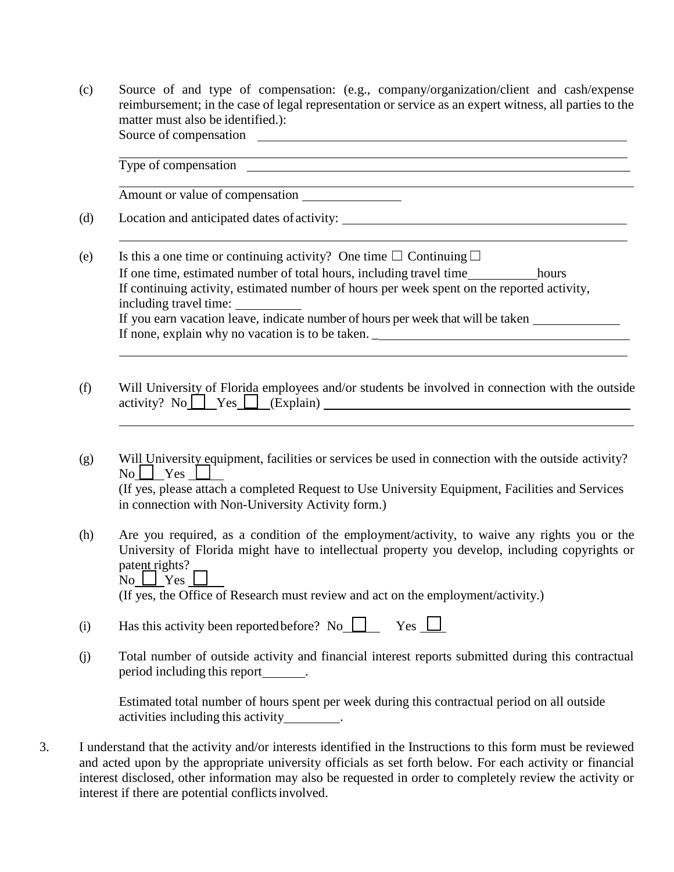(c) Source of and type of compensation: (e.g., company/organization/client and cash/expense reimbursement; in the case of legal representation or service as an expert witness, all parties to the matter must also be identified.): Source of compensation

Type of compensation

Amount or value of compensation

- (d) Location and anticipated dates of activity:
- (e) Is this a one time or continuing activity? One time  $\Box$  Continuing  $\Box$ If one time, estimated number of total hours, including travel time hours If continuing activity, estimated number of hours per week spent on the reported activity, including travel time: If you earn vacation leave, indicate number of hours per week that will be taken If none, explain why no vacation is to be taken. \_
- (f) Will University of Florida employees and/or students be involved in connection with the outside  $\arcsin{y}$ ? No  $\Box$  Yes  $\Box$  (Explain)  $\Box$
- (g) Will University equipment, facilities or services be used in connection with the outside activity?  $\text{No} \sqcup \text{Yes} \sqcup$ (If yes, please attach a completed Request to Use University Equipment, Facilities and Services in connection with Non-University Activity form.)
- (h) Are you required, as a condition of the employment/activity, to waive any rights you or the University of Florida might have to intellectual property you develop, including copyrights or patent rights? No  $\Box$  Yes  $\Box$

(If yes, the Office of Research must review and act on the employment/activity.)

- (i) Has this activity been reported before? No  $\Box$  Yes  $\Box$
- (j) Total number of outside activity and financial interest reports submitted during this contractual period including this report .

Estimated total number of hours spent per week during this contractual period on all outside activities including this activity\_\_\_\_\_\_\_\_\_.

3. I understand that the activity and/or interests identified in the Instructions to this form must be reviewed and acted upon by the appropriate university officials as set forth below. For each activity or financial interest disclosed, other information may also be requested in order to completely review the activity or interest if there are potential conflicts involved.